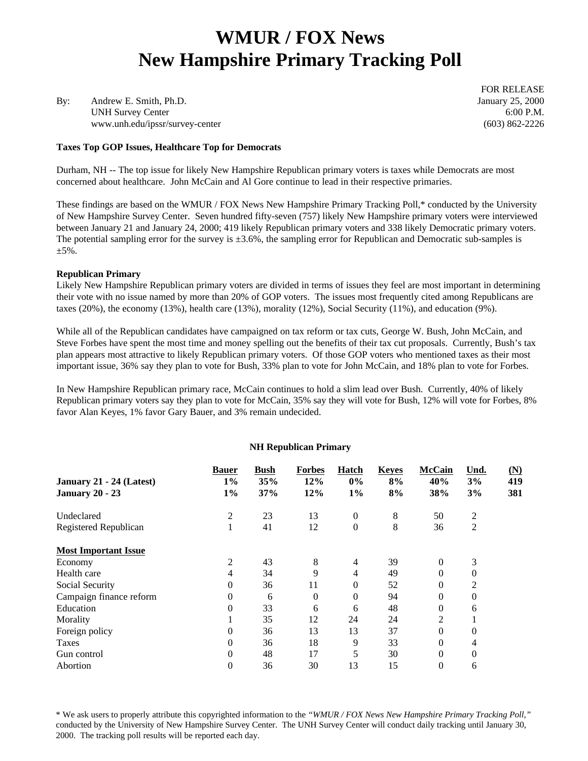# **WMUR / FOX News New Hampshire Primary Tracking Poll**

By: Andrew E. Smith, Ph.D. January 25, 2000 UNH Survey Center 6:00 P.M. www.unh.edu/ipssr/survey-center (603) 862-2226

**Taxes Top GOP Issues, Healthcare Top for Democrats**

FOR RELEASE

Durham, NH -- The top issue for likely New Hampshire Republican primary voters is taxes while Democrats are most concerned about healthcare. John McCain and Al Gore continue to lead in their respective primaries.

These findings are based on the WMUR / FOX News New Hampshire Primary Tracking Poll,\* conducted by the University of New Hampshire Survey Center. Seven hundred fifty-seven (757) likely New Hampshire primary voters were interviewed between January 21 and January 24, 2000; 419 likely Republican primary voters and 338 likely Democratic primary voters. The potential sampling error for the survey is  $\pm 3.6\%$ , the sampling error for Republican and Democratic sub-samples is  $+5\%$ .

#### **Republican Primary**

Likely New Hampshire Republican primary voters are divided in terms of issues they feel are most important in determining their vote with no issue named by more than 20% of GOP voters. The issues most frequently cited among Republicans are taxes (20%), the economy (13%), health care (13%), morality (12%), Social Security (11%), and education (9%).

While all of the Republican candidates have campaigned on tax reform or tax cuts, George W. Bush, John McCain, and Steve Forbes have spent the most time and money spelling out the benefits of their tax cut proposals. Currently, Bush's tax plan appears most attractive to likely Republican primary voters. Of those GOP voters who mentioned taxes as their most important issue, 36% say they plan to vote for Bush, 33% plan to vote for John McCain, and 18% plan to vote for Forbes.

In New Hampshire Republican primary race, McCain continues to hold a slim lead over Bush. Currently, 40% of likely Republican primary voters say they plan to vote for McCain, 35% say they will vote for Bush, 12% will vote for Forbes, 8% favor Alan Keyes, 1% favor Gary Bauer, and 3% remain undecided.

#### **NH Republican Primary**

| January 21 - 24 (Latest)    | <b>Bauer</b><br>$1\%$ | <b>Bush</b><br>35% | <b>Forbes</b><br>12% | Hatch<br>$0\%$ | <b>Keyes</b><br>8% | <b>McCain</b><br>40% | Und.<br>3%     | (N)<br>419 |
|-----------------------------|-----------------------|--------------------|----------------------|----------------|--------------------|----------------------|----------------|------------|
| <b>January 20 - 23</b>      | $1\%$                 | 37%                | 12%                  | $1\%$          | 8%                 | 38%                  | 3%             | 381        |
| Undeclared                  | 2                     | 23                 | 13                   | $\mathbf{0}$   | 8                  | 50                   | 2              |            |
| Registered Republican       |                       | 41                 | 12                   | $\mathbf{0}$   | 8                  | 36                   | $\overline{2}$ |            |
| <b>Most Important Issue</b> |                       |                    |                      |                |                    |                      |                |            |
| Economy                     | 2                     | 43                 | 8                    | $\overline{4}$ | 39                 | $\theta$             | 3              |            |
| Health care                 | 4                     | 34                 | 9                    | $\overline{4}$ | 49                 | 0                    | 0              |            |
| Social Security             | 0                     | 36                 | 11                   | 0              | 52                 | 0                    | 2              |            |
| Campaign finance reform     | 0                     | 6                  | $\theta$             | 0              | 94                 | 0                    | $\Omega$       |            |
| Education                   | $\theta$              | 33                 | 6                    | 6              | 48                 | 0                    | 6              |            |
| Morality                    |                       | 35                 | 12                   | 24             | 24                 | 2                    |                |            |
| Foreign policy              | $\Omega$              | 36                 | 13                   | 13             | 37                 | $\theta$             | $\Omega$       |            |
| Taxes                       | $\theta$              | 36                 | 18                   | 9              | 33                 | 0                    | 4              |            |
| Gun control                 | $\theta$              | 48                 | 17                   | 5              | 30                 | 0                    | $\theta$       |            |
| Abortion                    | 0                     | 36                 | 30                   | 13             | 15                 | $\overline{0}$       | 6              |            |

\* We ask users to properly attribute this copyrighted information to the *"WMUR / FOX News New Hampshire Primary Tracking Poll,"* conducted by the University of New Hampshire Survey Center. The UNH Survey Center will conduct daily tracking until January 30, 2000. The tracking poll results will be reported each day.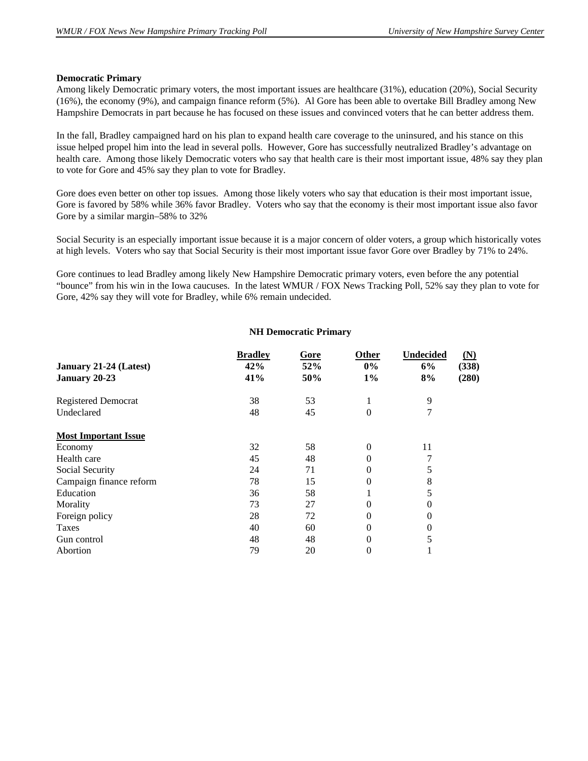#### **Democratic Primary**

Among likely Democratic primary voters, the most important issues are healthcare (31%), education (20%), Social Security (16%), the economy (9%), and campaign finance reform (5%). Al Gore has been able to overtake Bill Bradley among New Hampshire Democrats in part because he has focused on these issues and convinced voters that he can better address them.

In the fall, Bradley campaigned hard on his plan to expand health care coverage to the uninsured, and his stance on this issue helped propel him into the lead in several polls. However, Gore has successfully neutralized Bradley's advantage on health care. Among those likely Democratic voters who say that health care is their most important issue, 48% say they plan to vote for Gore and 45% say they plan to vote for Bradley.

Gore does even better on other top issues. Among those likely voters who say that education is their most important issue, Gore is favored by 58% while 36% favor Bradley. Voters who say that the economy is their most important issue also favor Gore by a similar margin–58% to 32%

Social Security is an especially important issue because it is a major concern of older voters, a group which historically votes at high levels. Voters who say that Social Security is their most important issue favor Gore over Bradley by 71% to 24%.

Gore continues to lead Bradley among likely New Hampshire Democratic primary voters, even before the any potential "bounce" from his win in the Iowa caucuses. In the latest WMUR / FOX News Tracking Poll, 52% say they plan to vote for Gore, 42% say they will vote for Bradley, while 6% remain undecided.

#### **NH Democratic Primary**

|                             | <b>Bradley</b> | Gore | <b>Other</b> | <b>Undecided</b> | (N)   |
|-----------------------------|----------------|------|--------------|------------------|-------|
| January 21-24 (Latest)      | 42%            | 52%  | $0\%$        | 6%               | (338) |
| January 20-23               | 41%            | 50%  | $1\%$        | 8%               | (280) |
| <b>Registered Democrat</b>  | 38             | 53   |              | 9                |       |
| Undeclared                  | 48             | 45   | 0            | 7                |       |
| <b>Most Important Issue</b> |                |      |              |                  |       |
| Economy                     | 32             | 58   | $\Omega$     | 11               |       |
| Health care                 | 45             | 48   | 0            |                  |       |
| Social Security             | 24             | 71   | 0            | 5                |       |
| Campaign finance reform     | 78             | 15   | 0            | 8                |       |
| Education                   | 36             | 58   |              | 5                |       |
| Morality                    | 73             | 27   | 0            | $\theta$         |       |
| Foreign policy              | 28             | 72   | 0            | $\theta$         |       |
| Taxes                       | 40             | 60   | 0            | $\Omega$         |       |
| Gun control                 | 48             | 48   | 0            | 5                |       |
| Abortion                    | 79             | 20   | 0            |                  |       |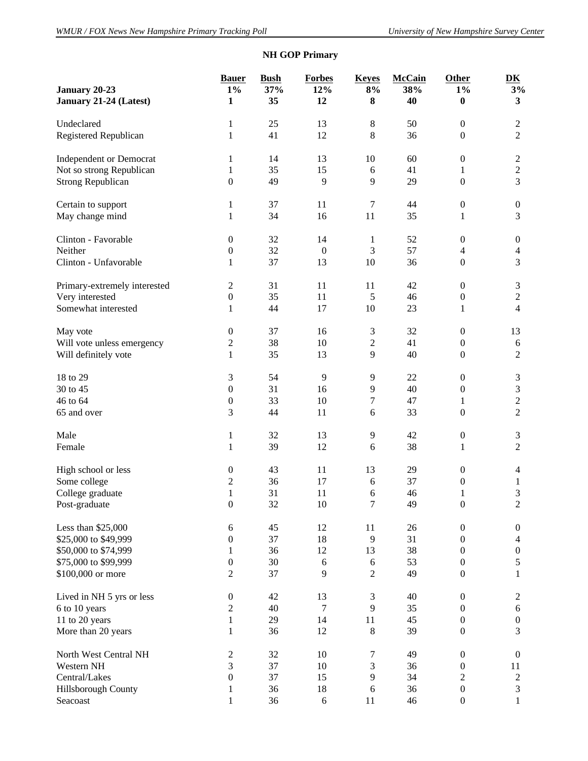# **NH GOP Primary**

| January 20-23                  | <b>Bauer</b><br>$1\%$ | <b>Bush</b><br>37% | <b>Forbes</b><br>12% | <b>Keyes</b><br>$8\%$ | <b>McCain</b><br>38% | Other<br>$1\%$                       | $\overline{\mathbf{D}}\mathbf{K}$<br>3% |
|--------------------------------|-----------------------|--------------------|----------------------|-----------------------|----------------------|--------------------------------------|-----------------------------------------|
| January 21-24 (Latest)         | 1                     | 35                 | 12                   | 8                     | 40                   | $\bf{0}$                             | $\mathbf{3}$                            |
| Undeclared                     | 1                     | 25                 | 13                   | $8\,$                 | 50                   | $\boldsymbol{0}$                     | $\overline{c}$                          |
| Registered Republican          | $\mathbf{1}$          | 41                 | 12                   | $\,8\,$               | 36                   | $\boldsymbol{0}$                     | $\overline{2}$                          |
| <b>Independent or Democrat</b> | 1                     | 14                 | 13                   | 10                    | 60                   | $\boldsymbol{0}$                     | $\boldsymbol{2}$                        |
| Not so strong Republican       | $\mathbf{1}$          | 35                 | 15                   | 6                     | 41                   | 1                                    | $\overline{c}$                          |
| <b>Strong Republican</b>       | $\boldsymbol{0}$      | 49                 | 9                    | 9                     | 29                   | $\boldsymbol{0}$                     | $\overline{3}$                          |
| Certain to support             | 1                     | 37                 | 11                   | $\tau$                | 44                   | $\boldsymbol{0}$                     | $\boldsymbol{0}$                        |
| May change mind                | $\mathbf{1}$          | 34                 | 16                   | 11                    | 35                   | 1                                    | 3                                       |
| Clinton - Favorable            | $\boldsymbol{0}$      | 32                 | 14                   | $\mathbf{1}$          | 52                   | $\boldsymbol{0}$                     | $\boldsymbol{0}$                        |
| Neither                        | $\boldsymbol{0}$      | 32                 | $\boldsymbol{0}$     | $\mathfrak{Z}$        | 57                   | $\overline{4}$                       | $\overline{4}$                          |
| Clinton - Unfavorable          | 1                     | 37                 | 13                   | 10                    | 36                   | $\boldsymbol{0}$                     | 3                                       |
| Primary-extremely interested   | $\overline{c}$        | 31                 | 11                   | 11                    | 42                   | $\boldsymbol{0}$                     | 3                                       |
| Very interested                | $\boldsymbol{0}$      | 35                 | 11                   | 5                     | 46                   | $\boldsymbol{0}$                     | $\overline{c}$                          |
| Somewhat interested            | $\mathbf{1}$          | 44                 | 17                   | 10                    | 23                   | 1                                    | $\overline{4}$                          |
| May vote                       | $\boldsymbol{0}$      | 37                 | 16                   | 3                     | 32                   | $\boldsymbol{0}$                     | 13                                      |
| Will vote unless emergency     | $\overline{c}$        | 38                 | 10                   | $\sqrt{2}$            | 41                   | $\boldsymbol{0}$                     | $\sqrt{6}$                              |
| Will definitely vote           | $\mathbf{1}$          | 35                 | 13                   | 9                     | 40                   | $\boldsymbol{0}$                     | $\overline{2}$                          |
| 18 to 29                       | 3                     | 54                 | 9                    | 9                     | 22                   | $\boldsymbol{0}$                     | 3                                       |
| 30 to 45                       | $\mathbf{0}$          | 31                 | 16                   | 9                     | 40                   | $\boldsymbol{0}$                     | 3                                       |
| 46 to 64                       | $\boldsymbol{0}$      | 33                 | 10                   | 7                     | 47                   | 1                                    | $\overline{c}$                          |
| 65 and over                    | 3                     | 44                 | 11                   | $\sqrt{6}$            | 33                   | $\boldsymbol{0}$                     | $\overline{2}$                          |
| Male                           | 1                     | 32                 | 13                   | 9                     | 42                   | $\boldsymbol{0}$                     | 3                                       |
| Female                         | $\mathbf{1}$          | 39                 | 12                   | $\sqrt{6}$            | 38                   | 1                                    | $\overline{2}$                          |
| High school or less            | $\boldsymbol{0}$      | 43                 | 11                   | 13                    | 29                   | $\boldsymbol{0}$                     | 4                                       |
| Some college                   | $\overline{c}$        | 36                 | 17                   | $\sqrt{6}$            | 37                   | $\boldsymbol{0}$                     | $\mathbf{1}$                            |
| College graduate               | $\mathbf{1}$          | 31                 | 11                   | $\sqrt{6}$            | 46                   | $\mathbf{1}$                         | $\mathfrak{Z}$                          |
| Post-graduate                  | $\boldsymbol{0}$      | 32                 | 10                   | 7                     | 49                   | $\boldsymbol{0}$                     | $\overline{c}$                          |
| Less than \$25,000             | 6                     | 45                 | 12                   | 11                    | 26                   | $\boldsymbol{0}$                     | $\boldsymbol{0}$                        |
| \$25,000 to \$49,999           | $\boldsymbol{0}$      | 37                 | 18                   | 9                     | 31                   | $\boldsymbol{0}$                     | $\overline{4}$                          |
| \$50,000 to \$74,999           | $\mathbf{1}$          | 36                 | 12                   | 13                    | 38                   | $\boldsymbol{0}$                     | $\boldsymbol{0}$                        |
| \$75,000 to \$99,999           | $\boldsymbol{0}$      | 30                 | 6                    | 6                     | 53                   | $\boldsymbol{0}$                     | 5                                       |
| \$100,000 or more              | $\overline{2}$        | 37                 | 9                    | $\overline{2}$        | 49                   | $\boldsymbol{0}$                     | $\mathbf{1}$                            |
| Lived in NH 5 yrs or less      | $\boldsymbol{0}$      | 42                 | 13                   | $\mathfrak{Z}$        | 40                   | $\boldsymbol{0}$                     | $\overline{c}$                          |
| 6 to 10 years                  | $\overline{c}$        | 40                 | 7                    | 9                     | 35                   | $\boldsymbol{0}$                     | 6                                       |
| 11 to 20 years                 | $\mathbf{1}$          | 29                 | 14                   | 11                    | 45                   | $\boldsymbol{0}$                     | $\boldsymbol{0}$                        |
| More than 20 years             | $\mathbf{1}$          | 36                 | 12                   | $\,8\,$               | 39                   | $\boldsymbol{0}$                     | 3                                       |
| North West Central NH          | $\overline{c}$        | 32                 | 10                   | $\tau$                | 49                   | $\boldsymbol{0}$                     | $\boldsymbol{0}$                        |
| Western NH                     | 3                     | 37                 | 10                   | $\mathfrak{Z}$        | 36                   | $\boldsymbol{0}$                     | 11                                      |
| Central/Lakes                  | $\boldsymbol{0}$      | 37                 | 15                   | 9                     | 34                   | $\overline{2}$                       | $\mathbf{2}$                            |
| Hillsborough County            | $\mathbf{1}$          | 36                 | 18                   | $\sqrt{6}$            | 36                   | $\boldsymbol{0}$<br>$\boldsymbol{0}$ | 3                                       |
| Seacoast                       | $\mathbf{1}$          | 36                 | $\sqrt{6}$           | 11                    | 46                   |                                      | $\mathbf{1}$                            |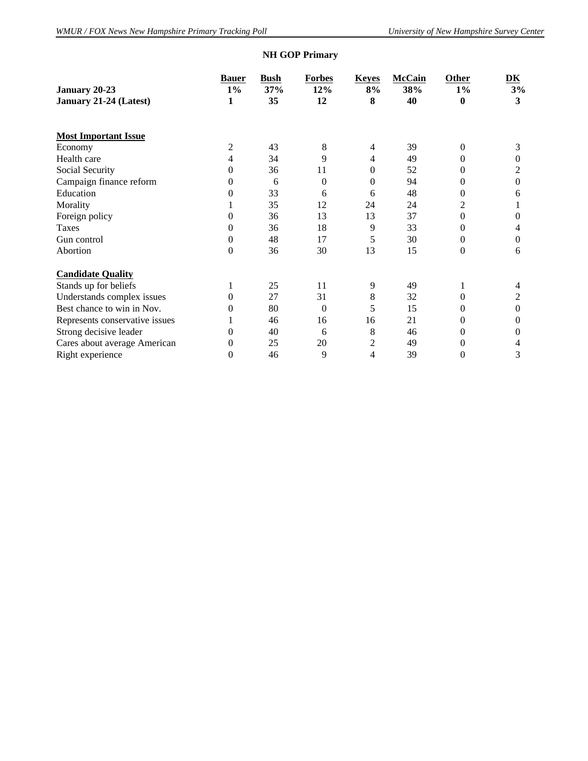# **NH GOP Primary**

| January 20-23                  | <b>Bauer</b><br>$1\%$ | <b>Bush</b><br>37% | <b>Forbes</b><br>12% | <b>Keyes</b><br>8% | <b>McCain</b><br>38% | Other<br>$1\%$ | DK<br>3% |
|--------------------------------|-----------------------|--------------------|----------------------|--------------------|----------------------|----------------|----------|
| January 21-24 (Latest)         | 1                     | 35                 | 12                   | 8                  | 40                   | $\bf{0}$       | 3        |
| <b>Most Important Issue</b>    |                       |                    |                      |                    |                      |                |          |
| Economy                        | 2                     | 43                 | 8                    | 4                  | 39                   | $\Omega$       | 3        |
| Health care                    | 4                     | 34                 | 9                    | 4                  | 49                   | 0              | 0        |
| Social Security                | $\Omega$              | 36                 | 11                   | $\theta$           | 52                   | $\Omega$       | 2        |
| Campaign finance reform        | $\theta$              | 6                  | $\theta$             | $\theta$           | 94                   | 0              | $\Omega$ |
| Education                      | 0                     | 33                 | 6                    | 6                  | 48                   | 0              | 6        |
| Morality                       |                       | 35                 | 12                   | 24                 | 24                   | 2              |          |
| Foreign policy                 | 0                     | 36                 | 13                   | 13                 | 37                   | $\Omega$       | 0        |
| Taxes                          | $\theta$              | 36                 | 18                   | 9                  | 33                   | 0              | 4        |
| Gun control                    | 0                     | 48                 | 17                   | 5                  | 30                   | $\Omega$       | $\Omega$ |
| Abortion                       | $\Omega$              | 36                 | 30                   | 13                 | 15                   | 0              | 6        |
| <b>Candidate Quality</b>       |                       |                    |                      |                    |                      |                |          |
| Stands up for beliefs          | 1                     | 25                 | 11                   | 9                  | 49                   |                | 4        |
| Understands complex issues     | 0                     | 27                 | 31                   | 8                  | 32                   | 0              | 2        |
| Best chance to win in Nov.     | $\theta$              | 80                 | $\theta$             | 5                  | 15                   | $\Omega$       | 0        |
| Represents conservative issues |                       | 46                 | 16                   | 16                 | 21                   | 0              | $\theta$ |
| Strong decisive leader         | 0                     | 40                 | 6                    | 8                  | 46                   | $\theta$       | 0        |
| Cares about average American   | $\theta$              | 25                 | 20                   | 2                  | 49                   | 0              | 4        |
| Right experience               | $\Omega$              | 46                 | 9                    | 4                  | 39                   | 0              | 3        |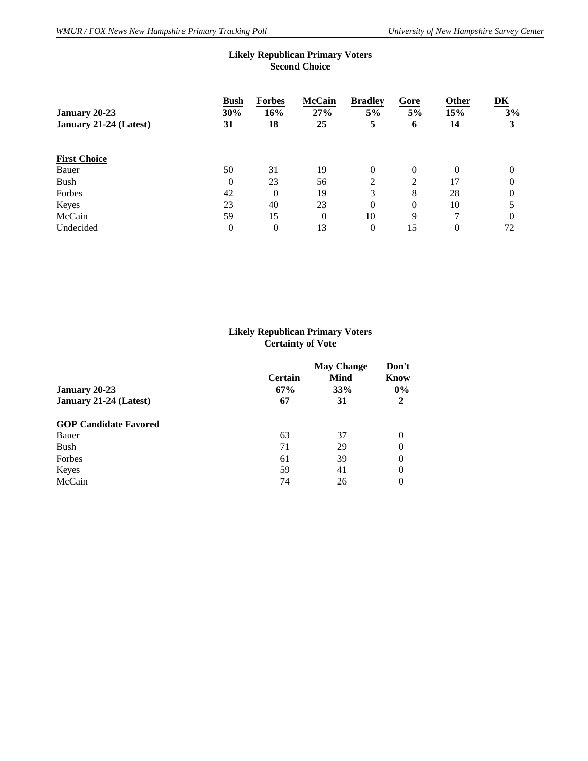| <b>Second Choice</b>     |                            |                            |                              |                 |                    |               |  |
|--------------------------|----------------------------|----------------------------|------------------------------|-----------------|--------------------|---------------|--|
| <b>Bush</b><br>30%<br>31 | <b>Forbes</b><br>16%<br>18 | <b>McCain</b><br>27%<br>25 | <b>Bradley</b><br>$5\%$<br>5 | Gore<br>5%<br>6 | Other<br>15%<br>14 | DK<br>3%<br>3 |  |
|                          |                            |                            |                              |                 |                    |               |  |
|                          |                            |                            |                              |                 |                    |               |  |
| 50                       | 31                         | 19                         | $\overline{0}$               | $\mathbf{0}$    | $\Omega$           | $\theta$      |  |
| $\overline{0}$           | 23                         | 56                         | 2                            | 2               | 17                 | 0             |  |
| 42                       | $\Omega$                   | 19                         | 3                            | 8               | 28                 | 0             |  |
| 23                       | 40                         | 23                         | $\theta$                     | $\mathbf{0}$    | 10                 | 5             |  |
| 59                       | 15                         | 0                          | 10                           | 9               | 7                  | 0             |  |
| $\overline{0}$           | $\theta$                   | 13                         | $\theta$                     | 15              | $\theta$           | 72            |  |
|                          |                            |                            |                              |                 |                    |               |  |

#### **Likely Republican Primary Voters Second Choice**

#### **Likely Republican Primary Voters Certainty of Vote**

| <b>January 20-23</b><br>January 21-24 (Latest) | Certain<br>67%<br>67 | <b>May Change</b><br><b>Mind</b><br>33%<br>31 | Don't<br>Know<br>$0\%$<br>2 |
|------------------------------------------------|----------------------|-----------------------------------------------|-----------------------------|
| <b>GOP Candidate Favored</b>                   |                      |                                               |                             |
| Bauer                                          | 63                   | 37                                            | 0                           |
| Bush                                           | 71                   | 29                                            | 0                           |
| Forbes                                         | 61                   | 39                                            | $\theta$                    |
| Keyes                                          | 59                   | 41                                            | $\theta$                    |
| McCain                                         | 74                   | 26                                            | $\Omega$                    |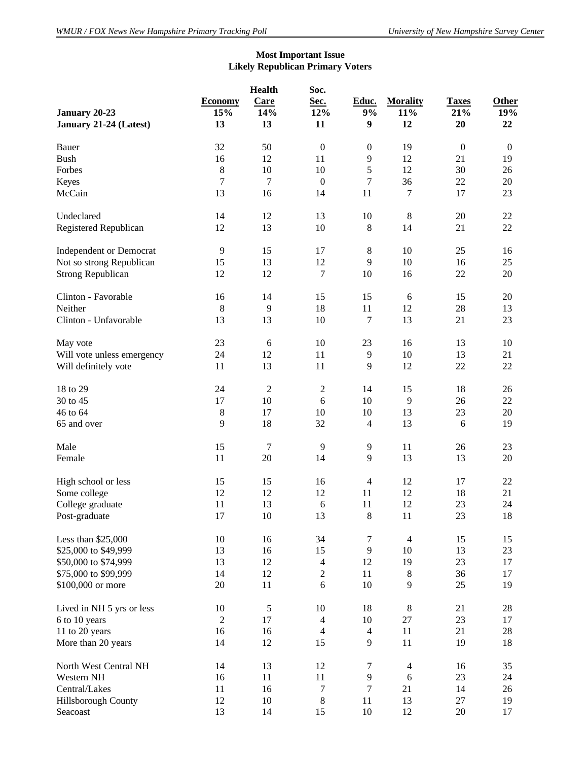#### **Most Important Issue Likely Republican Primary Voters**

|                                |                | <b>Health</b>  | Soc.                    |                          |                 |                  |              |
|--------------------------------|----------------|----------------|-------------------------|--------------------------|-----------------|------------------|--------------|
|                                | <b>Economy</b> | Care           | Sec.                    | Educ.                    | <b>Morality</b> | <b>Taxes</b>     | Other        |
| January 20-23                  | 15%            | 14%            | 12%                     | 9%                       | 11%             | 21%              | 19%          |
| January 21-24 (Latest)         | 13             | 13             | 11                      | $\boldsymbol{9}$         | 12              | 20               | 22           |
|                                |                |                |                         |                          |                 |                  |              |
| Bauer                          | 32             | 50             | $\boldsymbol{0}$        | $\boldsymbol{0}$         | 19              | $\boldsymbol{0}$ | $\mathbf{0}$ |
| <b>Bush</b>                    | 16             | 12             | 11                      | 9                        | 12              | 21               | 19           |
| Forbes                         | $\,8\,$        | 10             | 10                      | 5                        | 12              | 30               | 26           |
| Keyes                          | 7              | $\tau$         | $\boldsymbol{0}$        | 7                        | 36              | 22               | 20           |
|                                |                |                |                         |                          |                 |                  |              |
| McCain                         | 13             | 16             | 14                      | 11                       | $\overline{7}$  | 17               | 23           |
| Undeclared                     | 14             | 12             | 13                      | 10                       | $\,8\,$         | 20               | $22\,$       |
| Registered Republican          | 12             | 13             | 10                      | $\,8\,$                  | 14              | 21               | 22           |
|                                |                |                |                         |                          |                 |                  |              |
| <b>Independent or Democrat</b> | 9              | 15             | 17                      | 8                        | 10              | 25               | 16           |
| Not so strong Republican       | 15             | 13             | 12                      | 9                        | 10              | 16               | 25           |
| <b>Strong Republican</b>       | 12             | 12             | 7                       | 10                       | 16              | 22               | $20\,$       |
|                                |                |                |                         |                          |                 |                  |              |
| Clinton - Favorable            | 16             | 14             | 15                      | 15                       | 6               | 15               | 20           |
| Neither                        | 8              | 9              | 18                      | 11                       | 12              | 28               | 13           |
| Clinton - Unfavorable          | 13             | 13             | 10                      | 7                        | 13              | 21               | 23           |
| May vote                       | 23             | 6              | 10                      | 23                       | 16              | 13               | 10           |
|                                |                |                |                         |                          |                 |                  |              |
| Will vote unless emergency     | 24             | 12             | 11                      | 9                        | 10              | 13               | 21           |
| Will definitely vote           | 11             | 13             | 11                      | 9                        | 12              | 22               | 22           |
| 18 to 29                       | 24             | $\overline{2}$ | $\sqrt{2}$              | 14                       | 15              | 18               | 26           |
| 30 to 45                       | 17             | 10             | 6                       | 10                       | 9               | 26               | 22           |
| 46 to 64                       | $\,8\,$        | 17             | 10                      | 10                       | 13              | 23               | $20\,$       |
|                                |                |                |                         |                          |                 |                  |              |
| 65 and over                    | 9              | 18             | 32                      | $\overline{\mathcal{L}}$ | 13              | 6                | 19           |
| Male                           | 15             | $\overline{7}$ | 9                       | 9                        | 11              | 26               | 23           |
| Female                         | 11             | 20             | 14                      | 9                        | 13              | 13               | $20\,$       |
|                                |                |                |                         |                          |                 |                  |              |
| High school or less            | 15             | 15             | 16                      | $\overline{4}$           | 12              | 17               | 22           |
| Some college                   | 12             | 12             | 12                      | 11                       | 12              | 18               | 21           |
| College graduate               | 11             | 13             | 6                       | $11\,$                   | 12              | 23               | 24           |
| Post-graduate                  | 17             | $10\,$         | 13                      | 8                        | 11              | 23               | 18           |
|                                |                |                |                         |                          |                 |                  |              |
| Less than \$25,000             | 10             | 16             | 34                      | $\tau$                   | $\overline{4}$  | 15               | 15           |
| \$25,000 to \$49,999           | 13             | 16             | 15                      | $\overline{9}$           | 10              | 13               | 23           |
| \$50,000 to \$74,999           | 13             | 12             | $\overline{\mathbf{4}}$ | 12                       | 19              | 23               | 17           |
| \$75,000 to \$99,999           | 14             | 12             | $\boldsymbol{2}$        | 11                       | $8\,$           | 36               | 17           |
| \$100,000 or more              | 20             | 11             | 6                       | 10                       | 9               | 25               | 19           |
|                                |                |                |                         |                          |                 |                  |              |
| Lived in NH 5 yrs or less      | 10             | $\mathfrak s$  | 10                      | 18                       | 8               | 21               | 28           |
| 6 to 10 years                  | $\overline{2}$ | 17             | $\overline{4}$          | 10                       | $27\,$          | 23               | 17           |
| 11 to 20 years                 | 16             | 16             | $\overline{4}$          | $\overline{4}$           | 11              | 21               | 28           |
| More than 20 years             | 14             | 12             | 15                      | $\overline{9}$           | 11              | 19               | 18           |
|                                |                |                |                         |                          |                 |                  |              |
| North West Central NH          | 14             | 13             | 12                      | $\tau$                   | $\overline{4}$  | 16               | 35           |
| Western NH                     | 16             | $11\,$         | 11                      | $\overline{9}$           | 6               | 23               | 24           |
| Central/Lakes                  | 11             | 16             | $\tau$                  | $\tau$                   | 21              | 14               | 26           |
| Hillsborough County            | 12             | 10             | $\,8\,$                 | 11                       | 13              | $27\,$           | 19           |
| Seacoast                       | 13             | 14             | 15                      | $10\,$                   | 12              | 20               | 17           |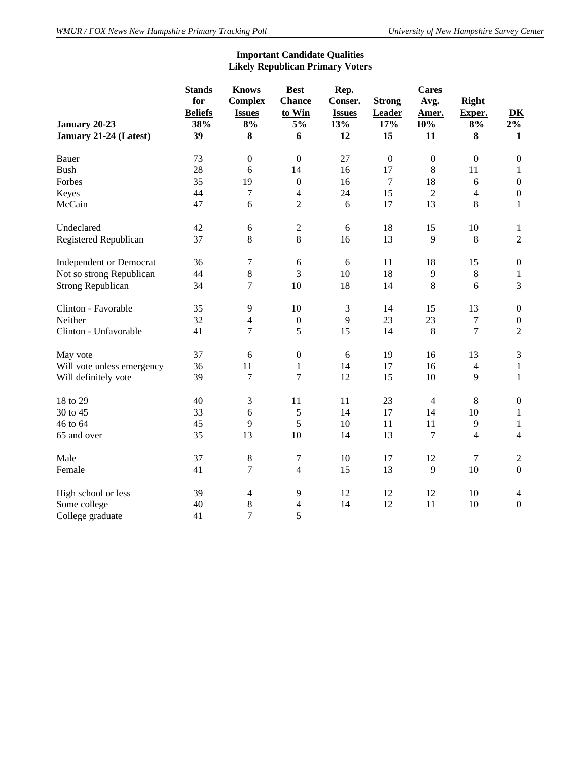## **Important Candidate Qualities Likely Republican Primary Voters**

|                                | <b>Stands</b><br>for<br><b>Beliefs</b> | <b>Knows</b><br><b>Complex</b><br><b>Issues</b> | <b>Best</b><br><b>Chance</b><br>to Win | Rep.<br>Conser.<br><b>Issues</b> | <b>Strong</b><br>Leader | <b>Cares</b><br>Avg.<br>Amer. | <b>Right</b><br>Exper.   | DK               |
|--------------------------------|----------------------------------------|-------------------------------------------------|----------------------------------------|----------------------------------|-------------------------|-------------------------------|--------------------------|------------------|
| January 20-23                  | 38%                                    | 8%                                              | $5\%$                                  | 13%                              | 17%                     | 10%                           | 8%                       | 2%               |
| January 21-24 (Latest)         | 39                                     | 8                                               | 6                                      | 12                               | 15                      | 11                            | 8                        | $\mathbf{1}$     |
| Bauer                          | 73                                     | $\boldsymbol{0}$                                | $\boldsymbol{0}$                       | 27                               | $\boldsymbol{0}$        | $\boldsymbol{0}$              | $\boldsymbol{0}$         | $\boldsymbol{0}$ |
| <b>Bush</b>                    | 28                                     | 6                                               | 14                                     | 16                               | 17                      | 8                             | 11                       | $\mathbf{1}$     |
| Forbes                         | 35                                     | 19                                              | $\boldsymbol{0}$                       | 16                               | $\tau$                  | 18                            | 6                        | $\boldsymbol{0}$ |
| Keyes                          | 44                                     | 7                                               | 4                                      | 24                               | 15                      | $\overline{2}$                | $\overline{\mathcal{L}}$ | $\boldsymbol{0}$ |
| McCain                         | 47                                     | 6                                               | $\overline{2}$                         | 6                                | 17                      | 13                            | 8                        | $\mathbf{1}$     |
| Undeclared                     | 42                                     | 6                                               | $\boldsymbol{2}$                       | 6                                | 18                      | 15                            | 10                       | $\mathbf{1}$     |
| Registered Republican          | 37                                     | 8                                               | 8                                      | 16                               | 13                      | 9                             | 8                        | $\overline{2}$   |
| <b>Independent or Democrat</b> | 36                                     | 7                                               | 6                                      | 6                                | 11                      | 18                            | 15                       | $\boldsymbol{0}$ |
| Not so strong Republican       | 44                                     | $8\,$                                           | 3                                      | 10                               | 18                      | $\overline{9}$                | 8                        | $\mathbf{1}$     |
| <b>Strong Republican</b>       | 34                                     | 7                                               | 10                                     | 18                               | 14                      | 8                             | 6                        | $\overline{3}$   |
| Clinton - Favorable            | 35                                     | 9                                               | 10                                     | 3                                | 14                      | 15                            | 13                       | $\boldsymbol{0}$ |
| Neither                        | 32                                     | 4                                               | $\boldsymbol{0}$                       | 9                                | 23                      | 23                            | 7                        | $\boldsymbol{0}$ |
| Clinton - Unfavorable          | 41                                     | 7                                               | 5                                      | 15                               | 14                      | 8                             | 7                        | $\overline{2}$   |
| May vote                       | 37                                     | 6                                               | $\boldsymbol{0}$                       | 6                                | 19                      | 16                            | 13                       | $\mathfrak{Z}$   |
| Will vote unless emergency     | 36                                     | 11                                              | 1                                      | 14                               | 17                      | 16                            | $\overline{4}$           | $\mathbf{1}$     |
| Will definitely vote           | 39                                     | 7                                               | $\overline{7}$                         | 12                               | 15                      | 10                            | 9                        | $\mathbf{1}$     |
| 18 to 29                       | 40                                     | 3                                               | 11                                     | 11                               | 23                      | $\overline{4}$                | $\,8\,$                  | $\boldsymbol{0}$ |
| 30 to 45                       | 33                                     | 6                                               | 5                                      | 14                               | 17                      | 14                            | 10                       | $\mathbf{1}$     |
| 46 to 64                       | 45                                     | 9                                               | 5                                      | 10                               | 11                      | 11                            | 9                        | $\mathbf{1}$     |
| 65 and over                    | 35                                     | 13                                              | 10                                     | 14                               | 13                      | 7                             | $\overline{4}$           | $\overline{4}$   |
| Male                           | 37                                     | $8\,$                                           | 7                                      | 10                               | 17                      | 12                            | $\tau$                   | $\overline{2}$   |
| Female                         | 41                                     | 7                                               | $\overline{4}$                         | 15                               | 13                      | 9                             | 10                       | $\mathbf{0}$     |
| High school or less            | 39                                     | $\overline{4}$                                  | 9                                      | 12                               | 12                      | 12                            | 10                       | $\overline{4}$   |
| Some college                   | 40                                     | 8                                               | 4                                      | 14                               | 12                      | 11                            | 10                       | $\boldsymbol{0}$ |
| College graduate               | 41                                     | 7                                               | 5                                      |                                  |                         |                               |                          |                  |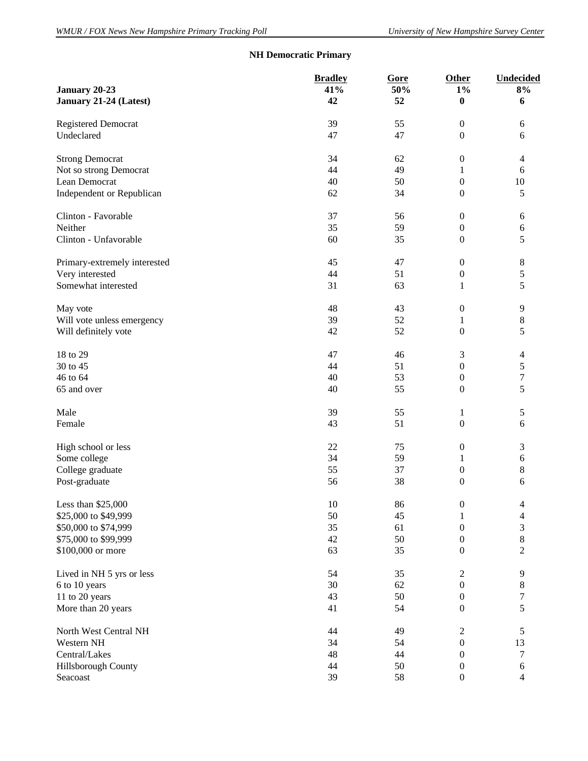# **NH Democratic Primary**

|                              | <b>Bradley</b> | Gore | Other            | Undecided                |
|------------------------------|----------------|------|------------------|--------------------------|
| January 20-23                | 41%            | 50%  | $1\%$            | 8%                       |
| January 21-24 (Latest)       | 42             | 52   | $\bf{0}$         | 6                        |
| <b>Registered Democrat</b>   | 39             | 55   | $\boldsymbol{0}$ | 6                        |
| Undeclared                   | 47             | 47   | $\boldsymbol{0}$ | 6                        |
| <b>Strong Democrat</b>       | 34             | 62   | $\boldsymbol{0}$ | $\overline{4}$           |
| Not so strong Democrat       | 44             | 49   | $\mathbf{1}$     | 6                        |
| Lean Democrat                | 40             | 50   | $\boldsymbol{0}$ | $10\,$                   |
| Independent or Republican    | 62             | 34   | $\boldsymbol{0}$ | 5                        |
| Clinton - Favorable          | 37             | 56   | $\boldsymbol{0}$ | 6                        |
| Neither                      | 35             | 59   | $\boldsymbol{0}$ | 6                        |
| Clinton - Unfavorable        | 60             | 35   | $\boldsymbol{0}$ | 5                        |
| Primary-extremely interested | 45             | 47   | $\boldsymbol{0}$ | $8\,$                    |
| Very interested              | 44             | 51   | $\boldsymbol{0}$ | 5                        |
| Somewhat interested          | 31             | 63   | 1                | 5                        |
| May vote                     | 48             | 43   | $\boldsymbol{0}$ | 9                        |
| Will vote unless emergency   | 39             | 52   | 1                | $\,8$                    |
| Will definitely vote         | 42             | 52   | $\boldsymbol{0}$ | 5                        |
| 18 to 29                     | 47             | 46   | 3                | $\overline{4}$           |
| 30 to 45                     | 44             | 51   | $\boldsymbol{0}$ | 5                        |
| 46 to 64                     | 40             | 53   | $\boldsymbol{0}$ | $\boldsymbol{7}$         |
| 65 and over                  | 40             | 55   | $\boldsymbol{0}$ | 5                        |
| Male                         | 39             | 55   | $\mathbf{1}$     | 5                        |
| Female                       | 43             | 51   | $\boldsymbol{0}$ | 6                        |
| High school or less          | 22             | 75   | $\boldsymbol{0}$ | 3                        |
| Some college                 | 34             | 59   | 1                | $\sqrt{6}$               |
| College graduate             | 55             | 37   | $\boldsymbol{0}$ | 8                        |
| Post-graduate                | 56             | 38   | $\boldsymbol{0}$ | 6                        |
| Less than \$25,000           | $10\,$         | 86   | $\boldsymbol{0}$ | $\overline{\mathcal{A}}$ |
| \$25,000 to \$49,999         | 50             | 45   | $\mathbf{1}$     | $\overline{\mathcal{L}}$ |
| \$50,000 to \$74,999         | 35             | 61   | $\boldsymbol{0}$ | 3                        |
| \$75,000 to \$99,999         | 42             | 50   | $\boldsymbol{0}$ | $\,8\,$                  |
| \$100,000 or more            | 63             | 35   | $\boldsymbol{0}$ | $\overline{2}$           |
| Lived in NH 5 yrs or less    | 54             | 35   | $\boldsymbol{2}$ | 9                        |
| 6 to 10 years                | 30             | 62   | $\boldsymbol{0}$ | $\,8\,$                  |
| 11 to 20 years               | 43             | 50   | $\boldsymbol{0}$ | $\boldsymbol{7}$         |
| More than 20 years           | 41             | 54   | $\boldsymbol{0}$ | 5                        |
| North West Central NH        | 44             | 49   | $\overline{2}$   | 5                        |
| Western NH                   | 34             | 54   | $\boldsymbol{0}$ | 13                       |
| Central/Lakes                | 48             | 44   | $\boldsymbol{0}$ | $\boldsymbol{7}$         |
| Hillsborough County          | 44             | 50   | $\boldsymbol{0}$ | $\sqrt{6}$               |
| Seacoast                     | 39             | 58   | $\boldsymbol{0}$ | $\overline{4}$           |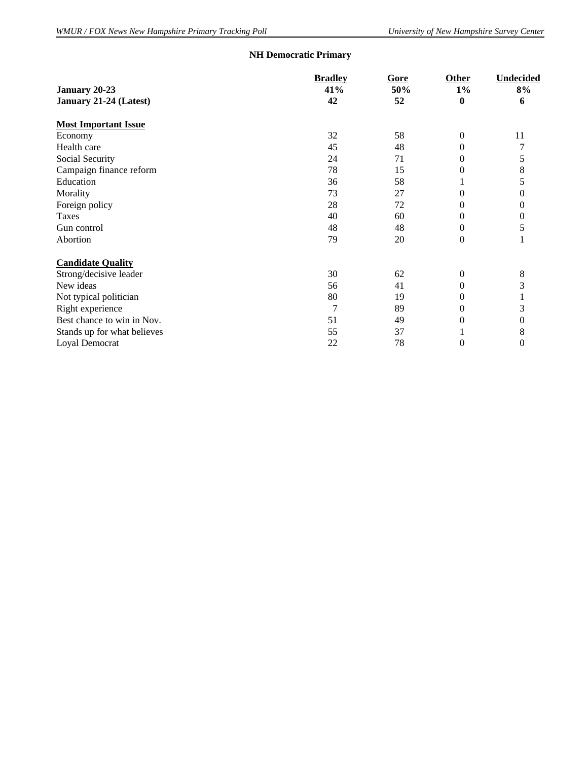# **NH Democratic Primary**

|                             | <b>Bradley</b> | Gore | Other            | Undecided        |  |
|-----------------------------|----------------|------|------------------|------------------|--|
| January 20-23               | 41%            | 50%  | $1\%$            | 8%               |  |
| January 21-24 (Latest)      | 42             | 52   | $\boldsymbol{0}$ | 6                |  |
| <b>Most Important Issue</b> |                |      |                  |                  |  |
| Economy                     | 32             | 58   | $\mathbf{0}$     | 11               |  |
| Health care                 | 45             | 48   | $\theta$         | 7                |  |
| Social Security             | 24             | 71   | 0                | 5                |  |
| Campaign finance reform     | 78             | 15   | 0                | 8                |  |
| Education                   | 36             | 58   |                  | 5                |  |
| Morality                    | 73             | 27   | 0                | 0                |  |
| Foreign policy              | 28             | 72   | 0                | 0                |  |
| Taxes                       | 40             | 60   | 0                | $\boldsymbol{0}$ |  |
| Gun control                 | 48             | 48   | 0                | 5                |  |
| Abortion                    | 79             | 20   | $\overline{0}$   |                  |  |
| <b>Candidate Quality</b>    |                |      |                  |                  |  |
| Strong/decisive leader      | 30             | 62   | $\Omega$         | 8                |  |
| New ideas                   | 56             | 41   | 0                | 3                |  |
| Not typical politician      | 80             | 19   | 0                |                  |  |
| Right experience            | 7              | 89   | 0                | 3                |  |
| Best chance to win in Nov.  | 51             | 49   | 0                | 0                |  |
| Stands up for what believes | 55             | 37   |                  | 8                |  |
| Loyal Democrat              | 22             | 78   | $\overline{0}$   | $\overline{0}$   |  |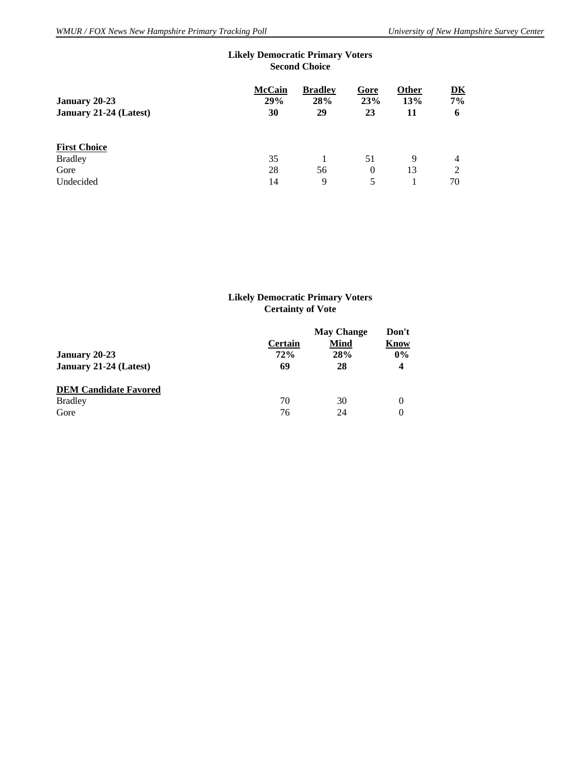|                        | <b>Second Choice</b> |                       |             |              |                              |  |
|------------------------|----------------------|-----------------------|-------------|--------------|------------------------------|--|
| January 20-23          | <b>McCain</b><br>29% | <b>Bradley</b><br>28% | Gore<br>23% | Other<br>13% | $\overline{\text{DK}}$<br>7% |  |
| January 21-24 (Latest) | 30                   | 29                    | 23          | 11           | 6                            |  |
| <b>First Choice</b>    |                      |                       |             |              |                              |  |
| <b>Bradley</b>         | 35                   |                       | 51          | 9            | 4                            |  |
| Gore                   | 28                   | 56                    | $\theta$    | 13           | 2                            |  |
| Undecided              | 14                   | 9                     | 5           |              | 70                           |  |

# **Likely Democratic Primary Voters**

#### **Likely Democratic Primary Voters Certainty of Vote**

| January 20-23<br>January 21-24 (Latest)                | Certain<br>72%<br>69 | <b>May Change</b><br><b>Mind</b><br>28%<br>28 | Don't<br>Know<br>$0\%$<br>$\overline{\mathbf{4}}$ |
|--------------------------------------------------------|----------------------|-----------------------------------------------|---------------------------------------------------|
| <b>DEM Candidate Favored</b><br><b>Bradley</b><br>Gore | 70<br>76             | 30<br>24                                      | 0<br>0                                            |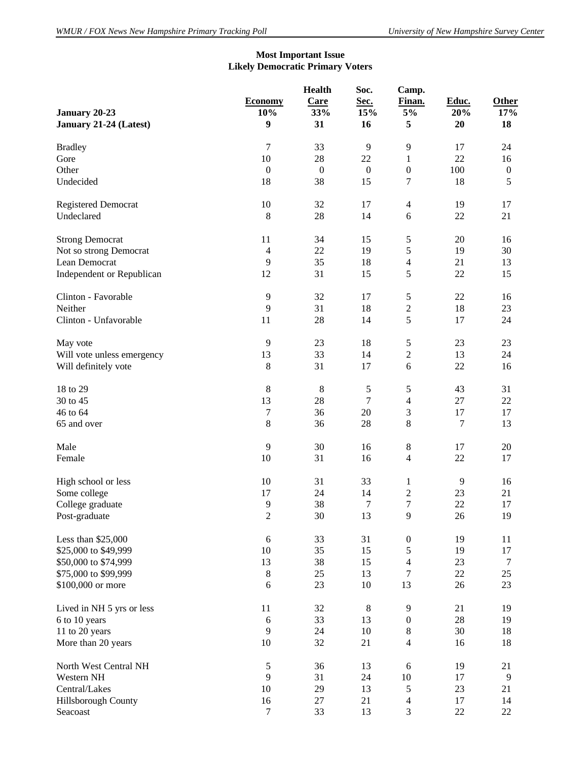#### **Most Important Issue Likely Democratic Primary Voters**

| January 20-23<br>January 21-24 (Latest) | <b>Economy</b><br>10%<br>9 | <b>Health</b><br>Care<br>33%<br>31 | Soc.<br>Sec.<br>15%<br>16 | Camp.<br>Finan.<br>5%<br>5 | Educ.<br>20%<br>20 | <b>Other</b><br>17%<br>18 |
|-----------------------------------------|----------------------------|------------------------------------|---------------------------|----------------------------|--------------------|---------------------------|
| <b>Bradley</b>                          | $\tau$                     | 33                                 | $\overline{9}$            | 9                          | 17                 | 24                        |
| Gore                                    | 10                         | 28                                 | 22                        | $\mathbf{1}$               | 22                 | 16                        |
| Other                                   | $\boldsymbol{0}$           | $\boldsymbol{0}$                   | $\boldsymbol{0}$          | $\boldsymbol{0}$           | 100                | $\boldsymbol{0}$          |
| Undecided                               | 18                         | 38                                 | 15                        | 7                          | 18                 | 5                         |
| <b>Registered Democrat</b>              | 10                         | 32                                 | 17                        | $\overline{4}$             | 19                 | 17                        |
| Undeclared                              | 8                          | 28                                 | 14                        | 6                          | $22\,$             | 21                        |
| <b>Strong Democrat</b>                  | 11                         | 34                                 | 15                        | 5                          | 20                 | 16                        |
| Not so strong Democrat                  | $\overline{4}$             | 22                                 | 19                        | 5                          | 19                 | 30                        |
| Lean Democrat                           | 9                          | 35                                 | 18                        | $\overline{\mathcal{L}}$   | 21                 | 13                        |
| Independent or Republican               | 12                         | 31                                 | 15                        | 5                          | 22                 | 15                        |
| Clinton - Favorable                     | 9                          | 32                                 | 17                        | $\sqrt{5}$                 | 22                 | 16                        |
| Neither                                 | 9                          | 31                                 | 18                        | $\boldsymbol{2}$           | 18                 | 23                        |
| Clinton - Unfavorable                   | 11                         | 28                                 | 14                        | 5                          | 17                 | 24                        |
| May vote                                | 9                          | 23                                 | 18                        | 5                          | 23                 | 23                        |
| Will vote unless emergency              | 13                         | 33                                 | 14                        | $\overline{c}$             | 13                 | 24                        |
| Will definitely vote                    | $8\,$                      | 31                                 | 17                        | 6                          | 22                 | 16                        |
| 18 to 29                                | $8\,$                      | $\,8\,$                            | $\sqrt{5}$                | 5                          | 43                 | 31                        |
| 30 to 45                                | 13                         | 28                                 | $\boldsymbol{7}$          | $\overline{\mathcal{L}}$   | $27\,$             | 22                        |
| 46 to 64                                | 7                          | 36                                 | 20                        | 3                          | 17                 | 17                        |
| 65 and over                             | 8                          | 36                                 | 28                        | $\,8\,$                    | $\boldsymbol{7}$   | 13                        |
| Male                                    | 9                          | 30                                 | 16                        | $8\,$                      | 17                 | 20                        |
| Female                                  | 10                         | 31                                 | 16                        | $\overline{4}$             | 22                 | 17                        |
| High school or less                     | 10                         | 31                                 | 33                        | $\mathbf{1}$               | $\overline{9}$     | 16                        |
| Some college                            | 17                         | 24                                 | 14                        | $\overline{c}$             | 23                 | 21                        |
| College graduate                        | 9                          | 38                                 | $\tau$                    | $\overline{7}$             | 22                 | 17                        |
| Post-graduate                           | $\overline{2}$             | 30                                 | 13                        | 9                          | 26                 | 19                        |
| Less than \$25,000                      | 6                          | 33                                 | 31                        | $\boldsymbol{0}$           | 19                 | 11                        |
| \$25,000 to \$49,999                    | 10                         | 35                                 | 15                        | 5                          | 19                 | 17                        |
| \$50,000 to \$74,999                    | 13                         | 38                                 | 15                        | $\overline{4}$             | 23                 | 7                         |
| \$75,000 to \$99,999                    | $8\,$                      | 25                                 | 13                        | 7                          | $22\,$             | 25                        |
| \$100,000 or more                       | 6                          | 23                                 | 10                        | 13                         | 26                 | 23                        |
| Lived in NH 5 yrs or less               | 11                         | 32                                 | $\,8\,$                   | 9                          | 21                 | 19                        |
| 6 to 10 years                           | $\epsilon$                 | 33                                 | 13                        | $\boldsymbol{0}$           | $28\,$             | 19                        |
| 11 to 20 years                          | 9                          | 24                                 | 10                        | $\,8\,$                    | 30                 | 18                        |
| More than 20 years                      | 10                         | 32                                 | 21                        | $\overline{4}$             | 16                 | 18                        |
| North West Central NH                   | $\mathfrak s$              | 36                                 | 13                        | 6                          | 19                 | 21                        |
| Western NH                              | 9                          | 31                                 | 24                        | $10\,$                     | 17                 | 9                         |
| Central/Lakes                           | 10                         | 29                                 | 13                        | $\sqrt{5}$                 | 23                 | 21                        |
| Hillsborough County                     | 16                         | 27                                 | 21                        | 4                          | $17\,$             | 14                        |
| Seacoast                                | $\boldsymbol{7}$           | 33                                 | 13                        | 3                          | $22\,$             | 22                        |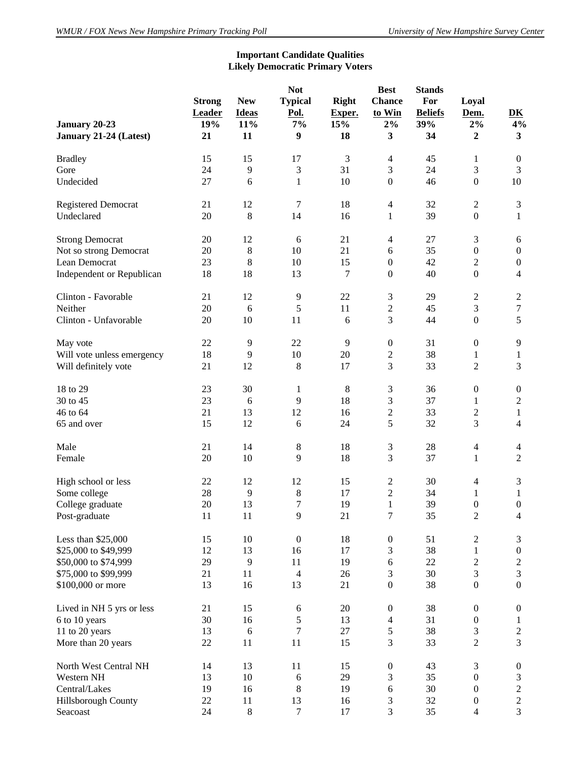## **Important Candidate Qualities Likely Democratic Primary Voters**

| January 20-23<br>January 21-24 (Latest) | <b>Strong</b><br><b>Leader</b><br>19%<br>21 | <b>New</b><br><b>Ideas</b><br>11%<br>11 | <b>Not</b><br><b>Typical</b><br>Pol.<br>7%<br>$\boldsymbol{9}$ | <b>Right</b><br>Exper.<br>15%<br>18 | <b>Best</b><br><b>Chance</b><br>to Win<br>2%<br>3 | <b>Stands</b><br>For<br><b>Beliefs</b><br>39%<br>34 | Loyal<br>Dem.<br>$2\%$<br>$\boldsymbol{2}$ | DK<br>4%<br>$\mathbf{3}$    |
|-----------------------------------------|---------------------------------------------|-----------------------------------------|----------------------------------------------------------------|-------------------------------------|---------------------------------------------------|-----------------------------------------------------|--------------------------------------------|-----------------------------|
| <b>Bradley</b>                          | 15                                          | 15                                      | 17                                                             | 3                                   | $\overline{\mathcal{A}}$                          | 45                                                  | 1                                          | $\boldsymbol{0}$            |
| Gore                                    | 24                                          | 9                                       | $\mathfrak{Z}$                                                 | 31                                  | 3                                                 | 24                                                  | 3                                          | $\mathfrak{Z}$              |
| Undecided                               | 27                                          | 6                                       | 1                                                              | 10                                  | $\boldsymbol{0}$                                  | 46                                                  | $\boldsymbol{0}$                           | 10                          |
| <b>Registered Democrat</b>              | 21                                          | 12                                      | 7                                                              | 18                                  | $\overline{4}$                                    | 32                                                  | $\overline{2}$                             | $\mathfrak{Z}$              |
| Undeclared                              | 20                                          | 8                                       | 14                                                             | 16                                  | 1                                                 | 39                                                  | $\boldsymbol{0}$                           | $\mathbf{1}$                |
| <b>Strong Democrat</b>                  | 20                                          | 12                                      | 6                                                              | 21                                  | $\overline{\mathcal{A}}$                          | 27                                                  | 3                                          | 6                           |
| Not so strong Democrat                  | 20                                          | $8\,$                                   | 10                                                             | 21                                  | 6                                                 | 35                                                  | $\boldsymbol{0}$                           | $\boldsymbol{0}$            |
| Lean Democrat                           | 23                                          | 8                                       | 10                                                             | 15                                  | $\boldsymbol{0}$                                  | 42                                                  | $\overline{2}$                             | $\boldsymbol{0}$            |
| Independent or Republican               | 18                                          | 18                                      | 13                                                             | 7                                   | $\boldsymbol{0}$                                  | 40                                                  | $\boldsymbol{0}$                           | $\overline{4}$              |
| Clinton - Favorable                     | 21                                          | 12                                      | 9                                                              | 22                                  | 3                                                 | 29                                                  | $\boldsymbol{2}$                           | $\sqrt{2}$                  |
| Neither                                 | 20                                          | 6                                       | 5                                                              | 11                                  | $\overline{c}$                                    | 45                                                  | 3                                          | $\boldsymbol{7}$            |
| Clinton - Unfavorable                   | 20                                          | 10                                      | 11                                                             | 6                                   | 3                                                 | 44                                                  | $\boldsymbol{0}$                           | 5                           |
| May vote                                | 22                                          | 9                                       | 22                                                             | 9                                   | $\boldsymbol{0}$                                  | 31                                                  | $\boldsymbol{0}$                           | 9                           |
| Will vote unless emergency              | 18                                          | 9                                       | 10                                                             | 20                                  | $\overline{c}$                                    | 38                                                  | 1                                          | $\mathbf{1}$                |
| Will definitely vote                    | 21                                          | 12                                      | 8                                                              | 17                                  | 3                                                 | 33                                                  | 2                                          | 3                           |
| 18 to 29                                | 23                                          | 30                                      | 1                                                              | $8\,$                               | 3                                                 | 36                                                  | $\boldsymbol{0}$                           | $\boldsymbol{0}$            |
| 30 to 45                                | 23                                          | 6                                       | 9                                                              | 18                                  | 3                                                 | 37                                                  | 1                                          | $\sqrt{2}$                  |
| 46 to 64                                | 21                                          | 13                                      | 12                                                             | 16                                  | $\overline{c}$                                    | 33                                                  | $\overline{c}$                             | $\mathbf{1}$                |
| 65 and over                             | 15                                          | 12                                      | 6                                                              | 24                                  | 5                                                 | 32                                                  | 3                                          | $\overline{4}$              |
| Male                                    | 21                                          | 14                                      | 8                                                              | 18                                  | 3                                                 | 28                                                  | $\overline{4}$                             | $\overline{4}$              |
| Female                                  | 20                                          | 10                                      | 9                                                              | 18                                  | 3                                                 | 37                                                  | 1                                          | $\overline{2}$              |
| High school or less                     | 22                                          | 12                                      | 12                                                             | 15                                  | $\mathfrak 2$                                     | 30                                                  | 4                                          | 3                           |
| Some college                            | 28                                          | 9                                       | $8\,$                                                          | 17                                  | $\overline{c}$                                    | 34                                                  | 1                                          | $\mathbf{1}$                |
| College graduate                        | 20                                          | 13                                      | $\overline{7}$                                                 | 19                                  | $\mathbf{1}$                                      | 39                                                  | $\boldsymbol{0}$                           | $\boldsymbol{0}$            |
| Post-graduate                           | 11                                          | 11                                      | 9                                                              | 21                                  | 7                                                 | 35                                                  | $\overline{c}$                             | $\overline{4}$              |
| Less than $$25,000$                     | 15                                          | 10                                      | $\boldsymbol{0}$                                               | 18                                  | $\boldsymbol{0}$                                  | 51                                                  | $\mathbf{2}$                               | $\mathfrak{Z}$              |
| \$25,000 to \$49,999                    | 12                                          | 13                                      | 16                                                             | 17                                  | 3                                                 | 38                                                  | 1                                          | $\boldsymbol{0}$            |
| \$50,000 to \$74,999                    | 29                                          | 9                                       | 11                                                             | 19                                  | 6                                                 | 22                                                  | $\boldsymbol{2}$                           | $\sqrt{2}$                  |
| \$75,000 to \$99,999                    | 21                                          | 11                                      | $\overline{4}$                                                 | 26                                  | 3                                                 | 30                                                  | $\mathfrak{Z}$                             | $\mathfrak 3$               |
| \$100,000 or more                       | 13                                          | 16                                      | 13                                                             | 21                                  | $\boldsymbol{0}$                                  | 38                                                  | $\boldsymbol{0}$                           | $\boldsymbol{0}$            |
| Lived in NH 5 yrs or less               | 21                                          | 15                                      | 6                                                              | 20                                  | $\boldsymbol{0}$                                  | 38                                                  | $\boldsymbol{0}$                           | $\boldsymbol{0}$            |
| 6 to 10 years                           | 30                                          | 16                                      | 5                                                              | 13                                  | $\overline{4}$                                    | 31                                                  | $\boldsymbol{0}$                           | $\mathbf{1}$                |
| 11 to 20 years                          | 13                                          | 6                                       | $\boldsymbol{7}$                                               | 27                                  | $\sqrt{5}$                                        | 38                                                  | $\mathfrak{Z}$                             | $\sqrt{2}$                  |
| More than 20 years                      | $22\,$                                      | 11                                      | 11                                                             | 15                                  | 3                                                 | 33                                                  | $\overline{2}$                             | 3                           |
| North West Central NH                   | 14                                          | 13                                      | 11                                                             | 15                                  | $\boldsymbol{0}$                                  | 43                                                  | 3                                          | $\boldsymbol{0}$            |
| Western NH                              | 13                                          | 10                                      | $\sqrt{6}$                                                     | 29                                  | 3                                                 | 35                                                  | $\boldsymbol{0}$                           | $\ensuremath{\mathfrak{Z}}$ |
| Central/Lakes                           | 19                                          | 16                                      | $\,8\,$                                                        | 19                                  | 6                                                 | 30                                                  | $\boldsymbol{0}$                           | $\sqrt{2}$                  |
| Hillsborough County                     | $22\,$                                      | 11                                      | 13                                                             | 16                                  | 3                                                 | 32                                                  | $\boldsymbol{0}$                           | $\sqrt{2}$                  |
| Seacoast                                | 24                                          | $\,8$                                   | $\boldsymbol{7}$                                               | 17                                  | 3                                                 | 35                                                  | $\overline{4}$                             | 3                           |